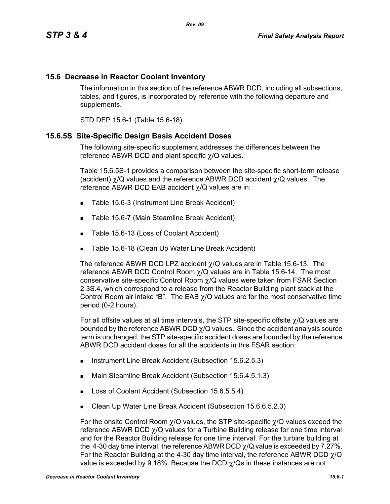## **15.6 Decrease in Reactor Coolant Inventory**

The information in this section of the reference ABWR DCD, including all subsections, tables, and figures, is incorporated by reference with the following departure and supplements.

STD DEP 15.6-1 (Table 15.6-18)

#### **15.6.5S Site-Specific Design Basis Accident Doses**

The following site-specific supplement addresses the differences between the reference ABWR DCD and plant specific χ/Q values.

Table 15.6.5S-1 provides a comparison between the site-specific short-term release (accident) χ/Q values and the reference ABWR DCD accident χ/Q values. The reference ABWR DCD EAB accident χ/Q values are in:

- Table 15.6-3 (Instrument Line Break Accident)
- Table 15.6-7 (Main Steamline Break Accident)
- Table 15.6-13 (Loss of Coolant Accident)
- **Table 15.6-18 (Clean Up Water Line Break Accident)**

The reference ABWR DCD LPZ accident  $\chi$ /Q values are in Table 15.6-13. The reference ABWR DCD Control Room  $\chi$ /Q values are in Table 15.6-14. The most conservative site-specific Control Room χ/Q values were taken from FSAR Section 2.3S.4, which correspond to a release from the Reactor Building plant stack at the Control Room air intake "B". The EAB  $\chi$ /Q values are for the most conservative time period (0-2 hours).

For all offsite values at all time intervals, the STP site-specific offsite χ/Q values are bounded by the reference ABWR DCD  $\chi$ /Q values. Since the accident analysis source term is unchanged, the STP site-specific accident doses are bounded by the reference ABWR DCD accident doses for all the accidents in this FSAR section:

- Instrument Line Break Accident (Subsection 15.6.2.5.3)
- Main Steamline Break Accident (Subsection 15.6.4.5.1.3)
- Loss of Coolant Accident (Subsection 15.6.5.5.4)
- Clean Up Water Line Break Accident (Subsection 15.6.6.5.2.3)

For the onsite Control Room  $\chi$ /Q values, the STP site-specific  $\chi$ /Q values exceed the reference ABWR DCD χ/Q values for a Turbine Building release for one time interval and for the Reactor Building release for one time interval. For the turbine building at the 4-30 day time interval, the reference ABWR DCD  $\chi$ /Q value is exceeded by 7.27%. For the Reactor Building at the 4-30 day time interval, the reference ABWR DCD  $\gamma$ /Q value is exceeded by 9.18%. Because the DCD  $\gamma$ /Qs in these instances are not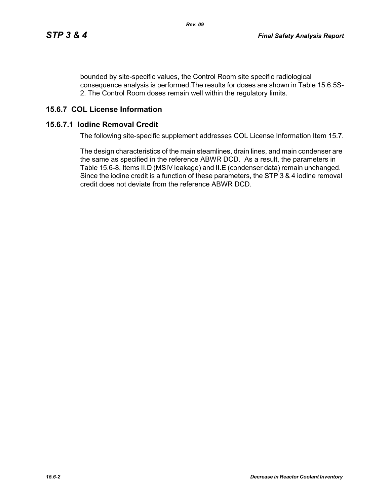bounded by site-specific values, the Control Room site specific radiological consequence analysis is performed.The results for doses are shown in Table 15.6.5S-2. The Control Room doses remain well within the regulatory limits.

## **15.6.7 COL License Information**

### **15.6.7.1 Iodine Removal Credit**

The following site-specific supplement addresses COL License Information Item 15.7.

The design characteristics of the main steamlines, drain lines, and main condenser are the same as specified in the reference ABWR DCD. As a result, the parameters in Table 15.6-8, Items II.D (MSIV leakage) and II.E (condenser data) remain unchanged. Since the iodine credit is a function of these parameters, the STP 3 & 4 iodine removal credit does not deviate from the reference ABWR DCD.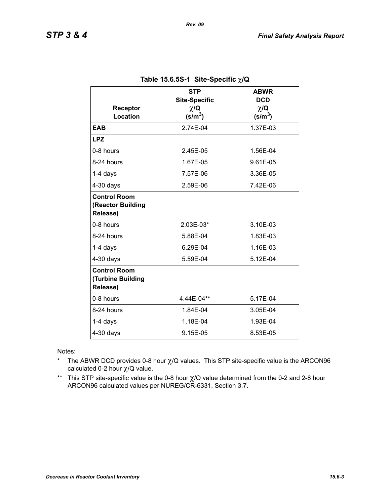| Receptor<br><b>Location</b>                          | <b>STP</b><br><b>Site-Specific</b><br>$\chi/\mathbf{Q}$<br>$(s/m^3)$ | <b>ABWR</b><br><b>DCD</b><br>$\chi/\mathbf{Q}$<br>$(s/m^3)$ |
|------------------------------------------------------|----------------------------------------------------------------------|-------------------------------------------------------------|
| <b>EAB</b>                                           | 2.74E-04                                                             | 1.37E-03                                                    |
| <b>LPZ</b>                                           |                                                                      |                                                             |
| 0-8 hours                                            | 2.45E-05                                                             | 1.56E-04                                                    |
| 8-24 hours                                           | 1.67E-05                                                             | 9.61E-05                                                    |
| 1-4 days                                             | 7.57E-06                                                             | 3.36E-05                                                    |
| $4-30$ days                                          | 2.59E-06                                                             | 7.42E-06                                                    |
| <b>Control Room</b><br>(Reactor Building<br>Release) |                                                                      |                                                             |
| 0-8 hours                                            | 2.03E-03*                                                            | 3.10E-03                                                    |
| 8-24 hours                                           | 5.88E-04                                                             | 1.83E-03                                                    |
| $1-4$ days                                           | 6.29E-04                                                             | 1.16E-03                                                    |
| $4-30$ days                                          | 5.59E-04                                                             | 5.12E-04                                                    |
| <b>Control Room</b><br>(Turbine Building<br>Release) |                                                                      |                                                             |
| 0-8 hours                                            | 4.44E-04**                                                           | 5.17E-04                                                    |
| 8-24 hours                                           | 1.84E-04                                                             | 3.05E-04                                                    |
| 1-4 days                                             | 1.18E-04                                                             | 1.93E-04                                                    |
| $4-30$ days                                          | 9.15E-05                                                             | 8.53E-05                                                    |

## **Table 15.6.5S-1 Site-Specific** χ**/Q**

Notes:

- \* The ABWR DCD provides 0-8 hour  $\chi$ /Q values. This STP site-specific value is the ARCON96 calculated 0-2 hour χ/Q value.
- \*\* This STP site-specific value is the 0-8 hour χ/Q value determined from the 0-2 and 2-8 hour ARCON96 calculated values per NUREG/CR-6331, Section 3.7.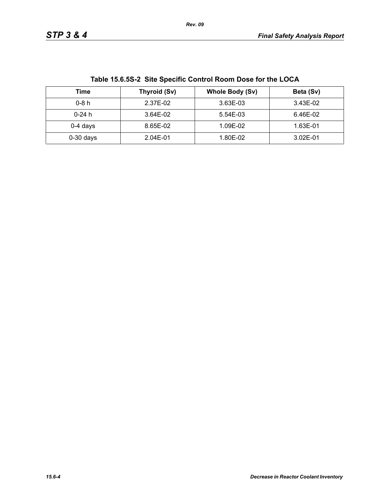| Table 15.6.55-2 Site Specific Control Room Dose for the LOCA |              |                        |           |  |
|--------------------------------------------------------------|--------------|------------------------|-----------|--|
| Time                                                         | Thyroid (Sv) | <b>Whole Body (Sv)</b> | Beta (Sv) |  |
| $0-8h$                                                       | 2.37E-02     | 3.63E-03               | 3.43E-02  |  |
| $0-24h$                                                      | 3.64E-02     | 5.54E-03               | 6.46E-02  |  |
| $0-4$ days                                                   | 8.65E-02     | 1.09E-02               | 1.63E-01  |  |
| $0-30$ days                                                  | 2.04E-01     | 1.80E-02               | 3.02E-01  |  |

**Table 15.6.5S-2 Site Specific Control Room Dose for the LOCA**